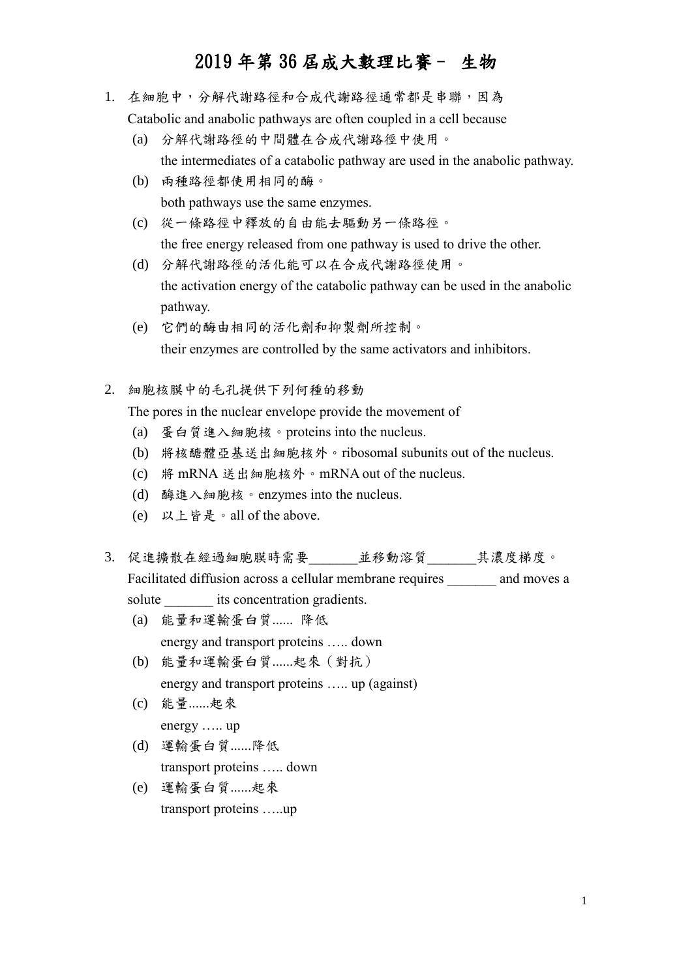- 1. 在細胞中,分解代謝路徑和合成代謝路徑通常都是串聯,因為 Catabolic and anabolic pathways are often coupled in a cell because
	-
	- (a) 分解代謝路徑的中間體在合成代謝路徑中使用。 the intermediates of a catabolic pathway are used in the anabolic pathway.
	- (b) 兩種路徑都使用相同的酶。 both pathways use the same enzymes.
	- (c) 從一條路徑中釋放的自由能去驅動另一條路徑。 the free energy released from one pathway is used to drive the other.
	- (d) 分解代謝路徑的活化能可以在合成代謝路徑使用。 the activation energy of the catabolic pathway can be used in the anabolic pathway.
	- (e) 它們的酶由相同的活化劑和抑製劑所控制。 their enzymes are controlled by the same activators and inhibitors.
- 2. 細胞核膜中的毛孔提供下列何種的移動

The pores in the nuclear envelope provide the movement of

- (a) 蛋白質進入細胞核。proteins into the nucleus.
- (b) 將核醣體亞基送出細胞核外。ribosomal subunits out of the nucleus.
- (c) 將 mRNA 送出細胞核外。mRNA out of the nucleus.
- (d) 酶進入細胞核。enzymes into the nucleus.
- (e) 以上皆是。all of the above.
- 3. 促進擴散在經過細胞膜時需要 並移動溶質 其濃度梯度。 Facilitated diffusion across a cellular membrane requires and moves a solute its concentration gradients.
	- (a) 能量和運輸蛋白質...... 降低 energy and transport proteins ….. down
	- (b) 能量和運輸蛋白質......起來(對抗) energy and transport proteins ….. up (against)
	- (c) 能量......起來 energy ….. up
	- (d) 運輸蛋白質......降低 transport proteins ….. down
	- (e) 運輸蛋白質......起來 transport proteins …..up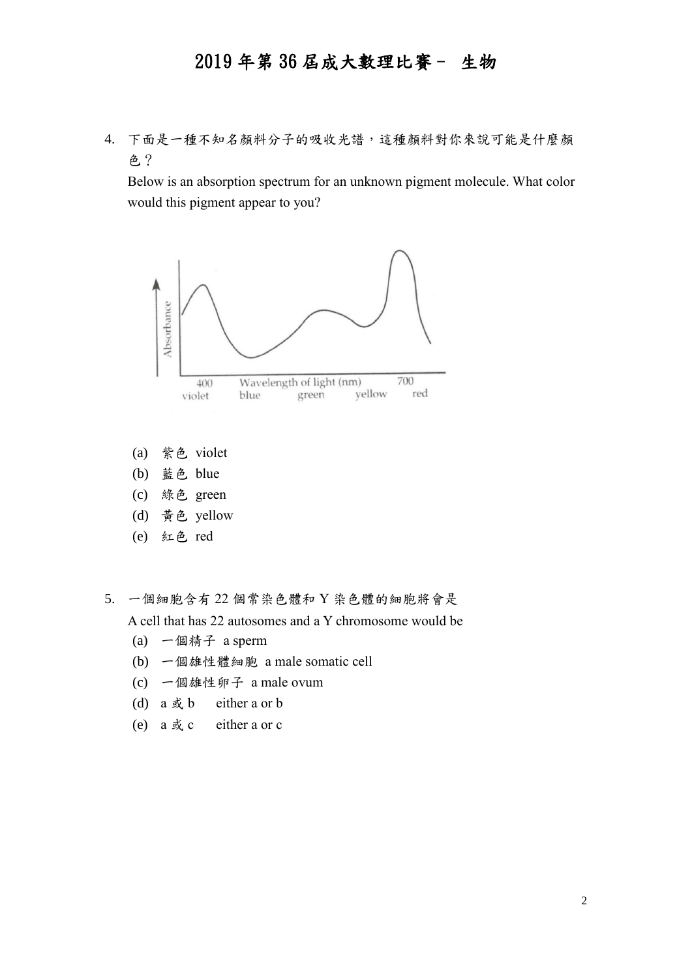4. 下面是一種不知名顏料分子的吸收光譜,這種顏料對你來說可能是什麼顏 色?

Below is an absorption spectrum for an unknown pigment molecule. What color would this pigment appear to you?



- (a) 紫色 violet
- (b) 藍色 blue
- (c) 綠色 green
- (d) 黃色 yellow
- (e) 紅色 red

5. 一個細胞含有 22 個常染色體和 Y 染色體的細胞將會是 A cell that has 22 autosomes and a Y chromosome would be

- (a) 一個精子 a sperm
- (b) 一個雄性體細胞 a male somatic cell
- (c) 一個雄性卵子 a male ovum
- (d) a 或 b either a or b
- (e) a 或 c either a or c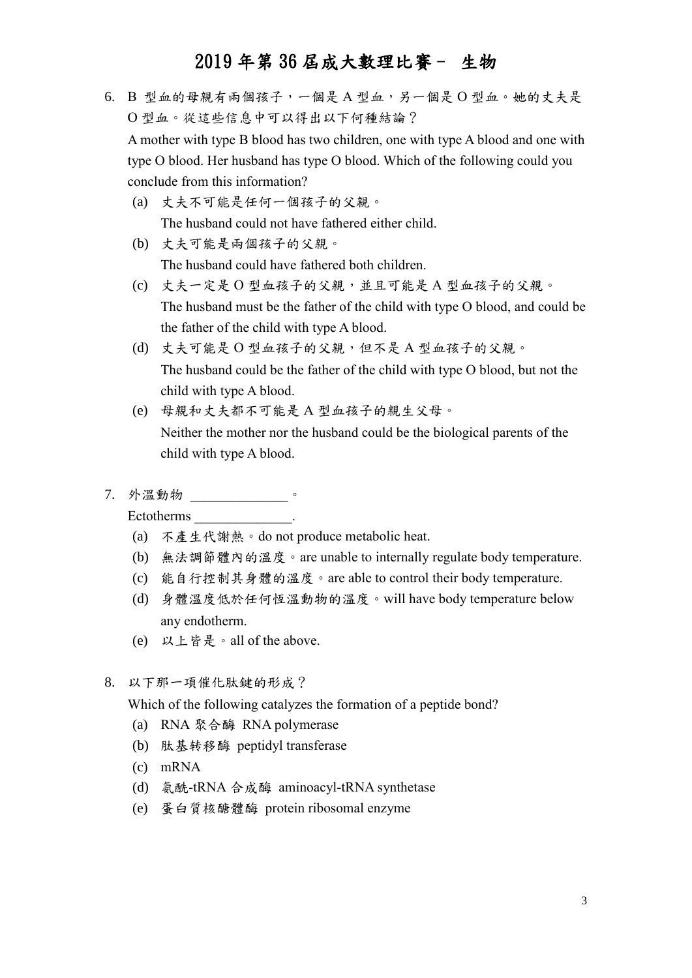6. B 型血的母親有兩個孩子,一個是 A 型血,另一個是 O 型血。她的丈夫是 O 型血。從這些信息中可以得出以下何種結論?

A mother with type B blood has two children, one with type A blood and one with type O blood. Her husband has type O blood. Which of the following could you conclude from this information?

- (a) 丈夫不可能是任何一個孩子的父親。 The husband could not have fathered either child.
- (b) 丈夫可能是兩個孩子的父親。 The husband could have fathered both children.
- (c) 丈夫一定是 O 型血孩子的父親,並且可能是 A 型血孩子的父親。 The husband must be the father of the child with type O blood, and could be the father of the child with type A blood.
- (d) 丈夫可能是 O 型血孩子的父親,但不是 A 型血孩子的父親。 The husband could be the father of the child with type O blood, but not the child with type A blood.
- (e) 母親和丈夫都不可能是 A 型血孩子的親生父母。 Neither the mother nor the husband could be the biological parents of the child with type A blood.
- 7. 外溫動物 \_\_\_\_\_\_\_\_\_\_\_\_\_\_。

Ectotherms \_\_\_\_\_\_\_\_\_\_\_\_\_\_.

- (a) 不產生代謝熱。do not produce metabolic heat.
- (b) 無法調節體內的溫度。are unable to internally regulate body temperature.
- (c) 能自行控制其身體的溫度。are able to control their body temperature.
- (d) 身體溫度低於任何恆溫動物的溫度。will have body temperature below any endotherm.
- (e) 以上皆是。all of the above.
- 8. 以下那一項催化肽鍵的形成?

Which of the following catalyzes the formation of a peptide bond?

- (a) RNA 聚合酶 RNA polymerase
- (b) 肽基转移酶 peptidyl transferase
- (c) mRNA
- (d) 氨酰-tRNA 合成酶 aminoacyl-tRNA synthetase
- (e) 蛋白質核醣體酶 protein ribosomal enzyme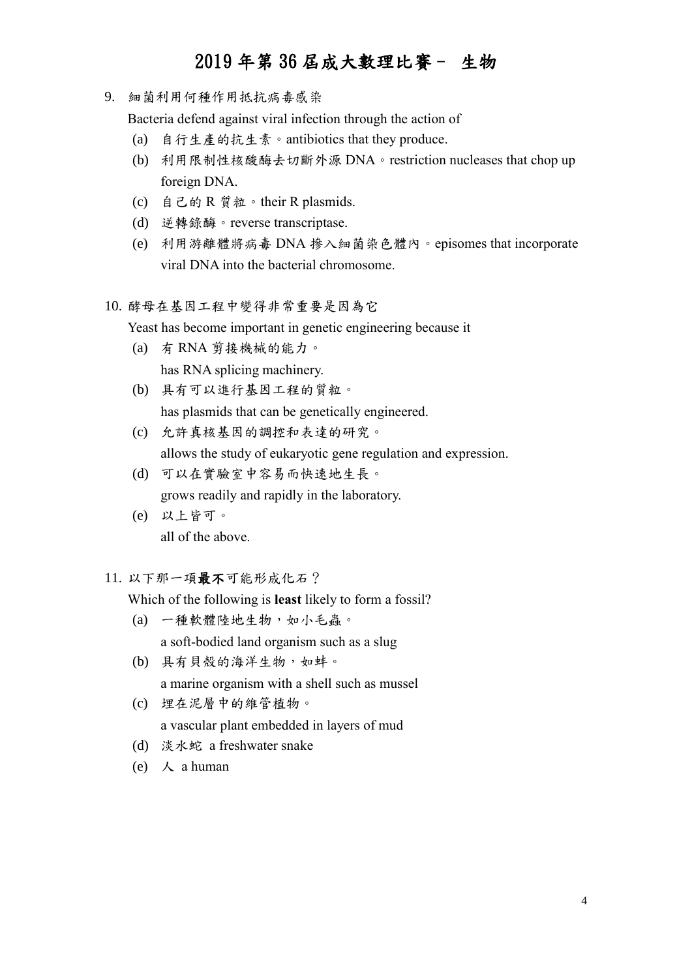9. 細菌利用何種作用抵抗病毒感染

Bacteria defend against viral infection through the action of

- (a) 自行生產的抗生素。antibiotics that they produce.
- (b) 利用限制性核酸酶去切斷外源 DNA。restriction nucleases that chop up foreign DNA.
- (c) 自己的 R 質粒。their R plasmids.
- (d) 逆轉錄酶。reverse transcriptase.
- (e) 利用游離體將病毒 DNA 摻入細菌染色體內。episomes that incorporate viral DNA into the bacterial chromosome.
- 10. 酵母在基因工程中變得非常重要是因為它

Yeast has become important in genetic engineering because it

- (a) 有 RNA 剪接機械的能力。 has RNA splicing machinery.
- (b) 具有可以進行基因工程的質粒。 has plasmids that can be genetically engineered.
- (c) 允許真核基因的調控和表達的研究。 allows the study of eukaryotic gene regulation and expression.
- (d) 可以在實驗室中容易而快速地生長。 grows readily and rapidly in the laboratory.
- (e) 以上皆可。 all of the above.
- 11. 以下那一項最不可能形成化石?

Which of the following is **least** likely to form a fossil?

- (a) 一種軟體陸地生物,如小毛蟲。 a soft-bodied land organism such as a slug
- (b) 具有貝殼的海洋生物,如蚌。 a marine organism with a shell such as mussel
- (c) 埋在泥層中的維管植物。 a vascular plant embedded in layers of mud
- (d) 淡水蛇 a freshwater snake
- (e)  $\lambda$  a human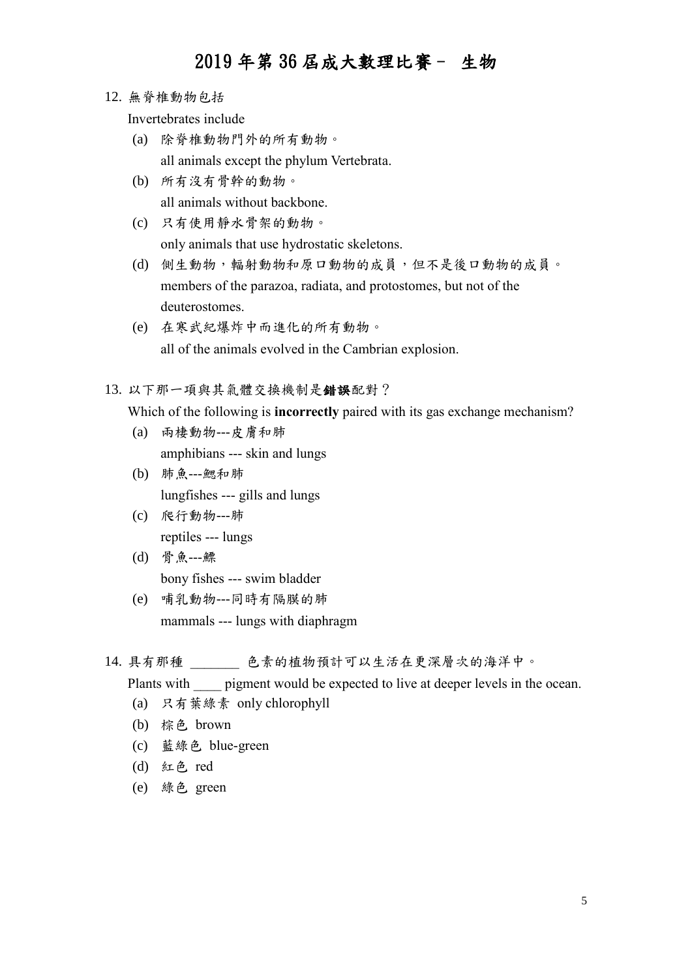12. 無脊椎動物包括

Invertebrates include

- (a) 除脊椎動物門外的所有動物。 all animals except the phylum Vertebrata.
- (b) 所有沒有骨幹的動物。 all animals without backbone.
- (c) 只有使用靜水骨架的動物。 only animals that use hydrostatic skeletons.
- (d) 側生動物,輻射動物和原口動物的成員,但不是後口動物的成員。 members of the parazoa, radiata, and protostomes, but not of the deuterostomes.
- (e) 在寒武紀爆炸中而進化的所有動物。 all of the animals evolved in the Cambrian explosion.

13. 以下那一項與其氣體交換機制是錯誤配對?

Which of the following is **incorrectly** paired with its gas exchange mechanism?

- (a) 兩棲動物---皮膚和肺 amphibians --- skin and lungs
- (b) 肺魚---鰓和肺 lungfishes --- gills and lungs
- (c) 爬行動物---肺 reptiles --- lungs
- (d) 骨魚---鰾 bony fishes --- swim bladder
- (e) 哺乳動物---同時有隔膜的肺 mammals --- lungs with diaphragm
- 14. 具有那種 色素的植物預計可以生活在更深層次的海洋中。

Plants with pigment would be expected to live at deeper levels in the ocean.

- (a) 只有葉綠素 only chlorophyll
- (b) 棕色 brown
- (c) 藍綠色 blue-green
- (d) 紅色 red
- (e) 綠色 green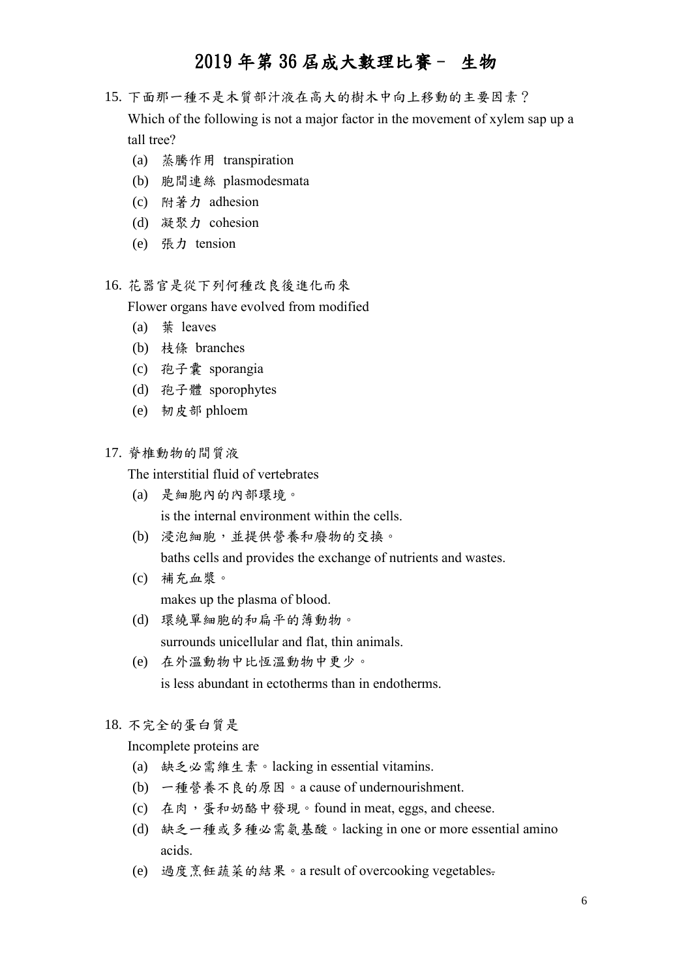- 15. 下面那一種不是木質部汁液在高大的樹木中向上移動的主要因素? Which of the following is not a major factor in the movement of xylem sap up a tall tree?
	- (a) 蒸騰作用 transpiration
	- (b) 胞間連絲 plasmodesmata
	- (c) 附著力 adhesion
	- (d) 凝聚力 cohesion
	- (e) 張力 tension
- 16. 花器官是從下列何種改良後進化而來

Flower organs have evolved from modified

- (a) 葉 leaves
- (b) 枝條 branches
- (c) 孢子囊 sporangia
- (d) 孢子體 sporophytes
- (e) 韧皮部 phloem
- 17. 脊椎動物的間質液

The interstitial fluid of vertebrates

- (a) 是細胞內的內部環境。 is the internal environment within the cells.
- (b) 浸泡細胞,並提供營養和廢物的交換。

baths cells and provides the exchange of nutrients and wastes.

- (c) 補充血漿。 makes up the plasma of blood.
- (d) 環繞單細胞的和扁平的薄動物。 surrounds unicellular and flat, thin animals.
- (e) 在外溫動物中比恆溫動物中更少。 is less abundant in ectotherms than in endotherms.

#### 18. 不完全的蛋白質是

Incomplete proteins are

- (a) 缺乏必需維生素。lacking in essential vitamins.
- (b) 一種營養不良的原因。a cause of undernourishment.
- (c) 在肉,蛋和奶酪中發現。found in meat, eggs, and cheese.
- (d) 缺乏一種或多種必需氨基酸。lacking in one or more essential amino acids.
- (e) 過度烹飪蔬菜的結果。a result of overcooking vegetables.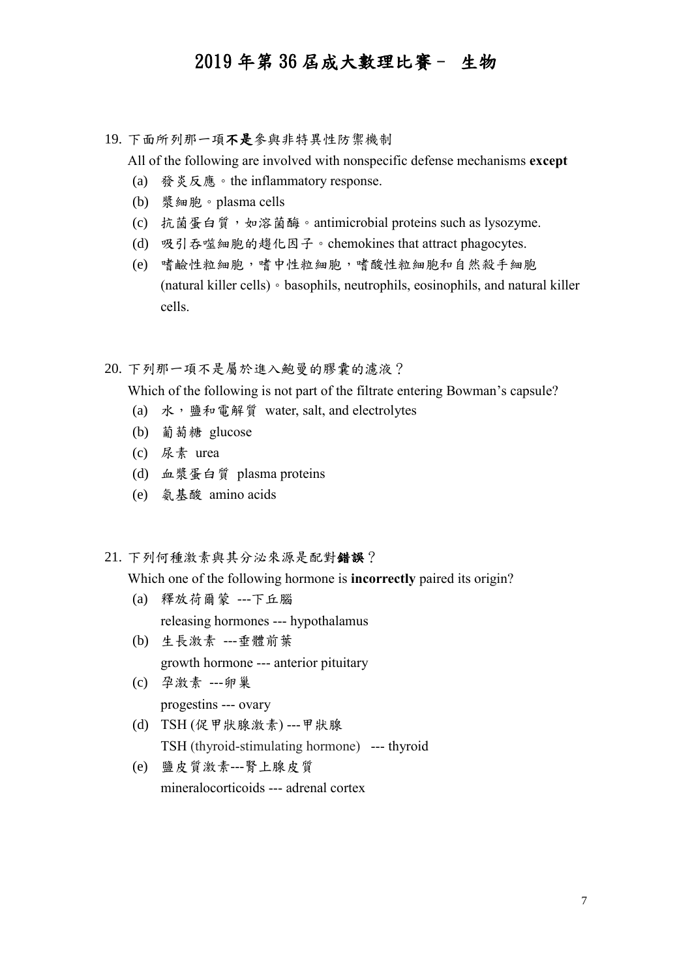19. 下面所列那一項不是參與非特異性防禦機制

All of the following are involved with nonspecific defense mechanisms **except**

- (a) 發炎反應。the inflammatory response.
- (b) 漿細胞。plasma cells
- (c) 抗菌蛋白質,如溶菌酶。antimicrobial proteins such as lysozyme.
- (d) 吸引吞噬細胞的趨化因子。chemokines that attract phagocytes.
- (e) 嗜鹼性粒細胞,嗜中性粒細胞,嗜酸性粒細胞和自然殺手細胞 (natural killer cells)。basophils, neutrophils, eosinophils, and natural killer cells.

20. 下列那一項不是屬於進入鮑曼的膠囊的濾液?

Which of the following is not part of the filtrate entering Bowman's capsule?

- (a) 水,鹽和電解質 water, salt, and electrolytes
- (b) 葡萄糖 glucose
- (c) 尿素 urea
- (d) 血漿蛋白質 plasma proteins
- (e) 氨基酸 amino acids
- 21. 下列何種激素與其分泌來源是配對錯誤?

Which one of the following hormone is **incorrectly** paired its origin?

- (a) 釋放荷爾蒙 ---下丘腦 releasing hormones --- hypothalamus
- (b) 生長激素 ---垂體前葉 growth hormone --- anterior pituitary
- (c) 孕激素 ---卵巢 progestins --- ovary
- (d) TSH (促甲狀腺激素) ---甲狀腺 TSH (thyroid-stimulating hormone) --- thyroid
- (e) 鹽皮質激素---腎上腺皮質 mineralocorticoids --- adrenal cortex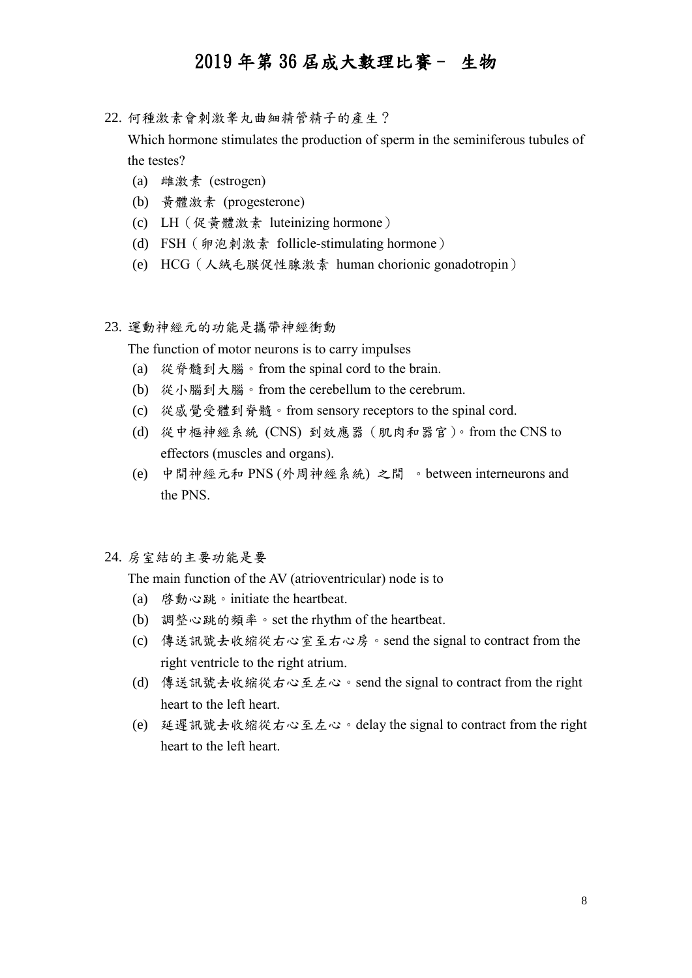22. 何種激素會刺激睾丸曲細精管精子的產生?

Which hormone stimulates the production of sperm in the seminiferous tubules of the testes?

- (a) 雌激素 (estrogen)
- (b) 黃體激素 (progesterone)
- (c) LH(促黃體激素 luteinizing hormone)
- (d) FSH (卵泡刺激素 follicle-stimulating hormone)
- (e) HCG(人絨毛膜促性腺激素 human chorionic gonadotropin)
- 23. 運動神經元的功能是攜帶神經衝動

The function of motor neurons is to carry impulses

- (a) 從脊髓到大腦。from the spinal cord to the brain.
- (b) 從小腦到大腦。from the cerebellum to the cerebrum.
- (c) 從感覺受體到脊髓。from sensory receptors to the spinal cord.
- (d) 從中樞神經系統 (CNS) 到效應器(肌肉和器官)。from the CNS to effectors (muscles and organs).
- (e) 中間神經元和 PNS (外周神經系統) 之間 。between interneurons and the PNS.
- 24. 房室結的主要功能是要

The main function of the AV (atrioventricular) node is to

- (a) 啓動心跳。initiate the heartbeat.
- (b) 調整心跳的頻率。set the rhythm of the heartbeat.
- (c) 傳送訊號去收縮從右心室至右心房。send the signal to contract from the right ventricle to the right atrium.
- (d) 傳送訊號去收縮從右心至左心。send the signal to contract from the right heart to the left heart.
- (e) 延遲訊號去收縮從右心至左心。delay the signal to contract from the right heart to the left heart.